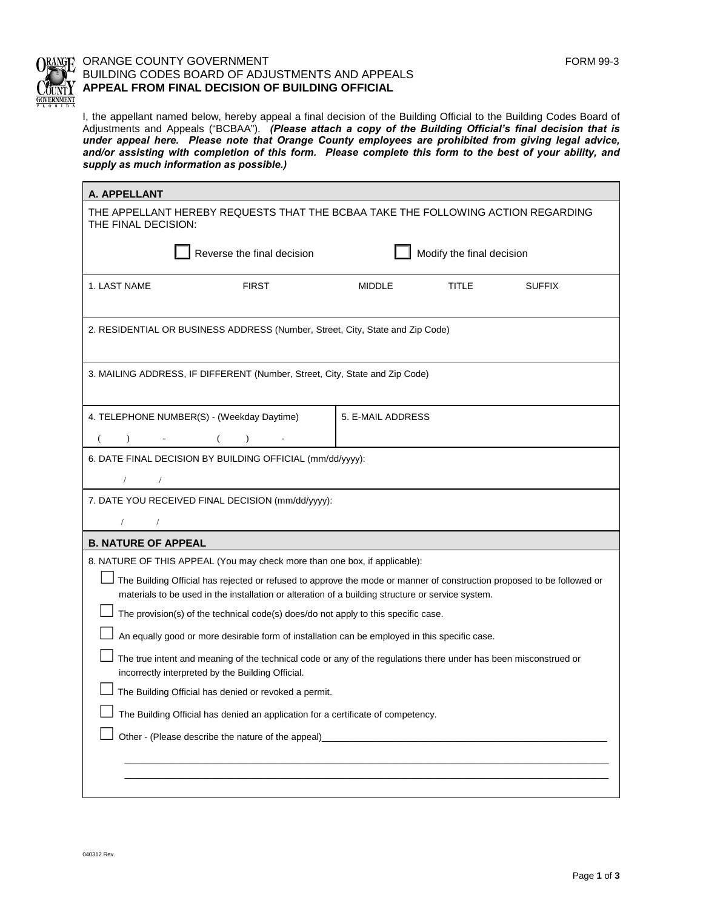$\Box$  $\Box$